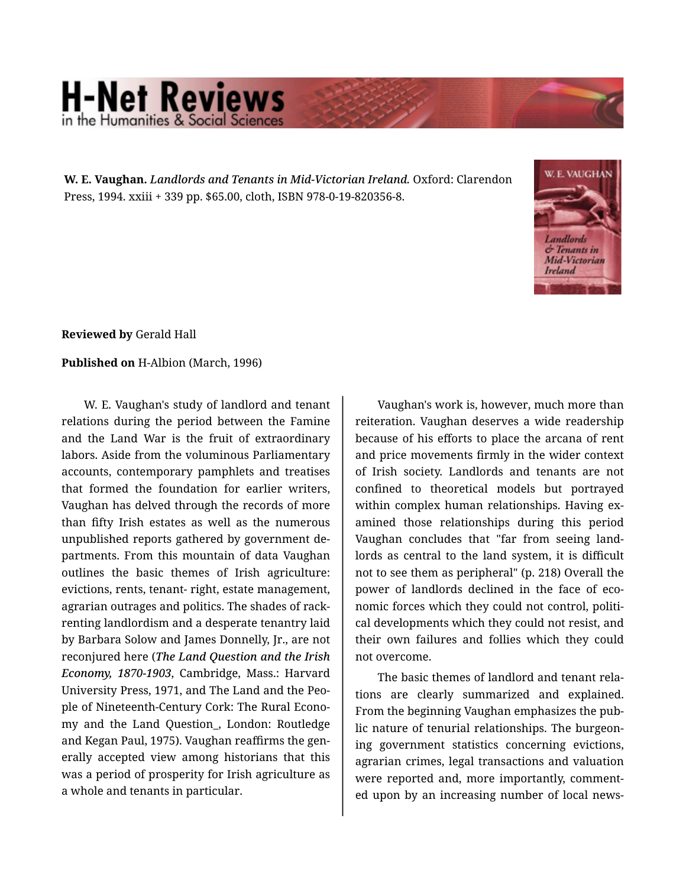## **H-Net Reviews** in the Humanities & Social Scie

**W. E. Vaughan.** *Landlords and Tenants in Mid-Victorian Ireland.* Oxford: Clarendon Press, 1994. xxiii + 339 pp. \$65.00, cloth, ISBN 978-0-19-820356-8.



**Reviewed by** Gerald Hall

## **Published on** H-Albion (March, 1996)

W. E. Vaughan's study of landlord and tenant relations during the period between the Famine and the Land War is the fruit of extraordinary labors. Aside from the voluminous Parliamentary accounts, contemporary pamphlets and treatises that formed the foundation for earlier writers, Vaughan has delved through the records of more than fifty Irish estates as well as the numerous unpublished reports gathered by government de‐ partments. From this mountain of data Vaughan outlines the basic themes of Irish agriculture: evictions, rents, tenant- right, estate management, agrarian outrages and politics. The shades of rack‐ renting landlordism and a desperate tenantry laid by Barbara Solow and James Donnelly, Jr., are not reconjured here (*The Land Question and the Irish Economy, 1870-1903*, Cambridge, Mass.: Harvard University Press, 1971, and The Land and the Peo‐ ple of Nineteenth-Century Cork: The Rural Econo‐ my and the Land Question\_, London: Routledge and Kegan Paul, 1975). Vaughan reaffirms the gen‐ erally accepted view among historians that this was a period of prosperity for Irish agriculture as a whole and tenants in particular.

Vaughan's work is, however, much more than reiteration. Vaughan deserves a wide readership because of his efforts to place the arcana of rent and price movements firmly in the wider context of Irish society. Landlords and tenants are not confined to theoretical models but portrayed within complex human relationships. Having examined those relationships during this period Vaughan concludes that "far from seeing land‐ lords as central to the land system, it is difficult not to see them as peripheral" (p. 218) Overall the power of landlords declined in the face of economic forces which they could not control, politi‐ cal developments which they could not resist, and their own failures and follies which they could not overcome.

The basic themes of landlord and tenant rela‐ tions are clearly summarized and explained. From the beginning Vaughan emphasizes the pub‐ lic nature of tenurial relationships. The burgeon‐ ing government statistics concerning evictions, agrarian crimes, legal transactions and valuation were reported and, more importantly, comment‐ ed upon by an increasing number of local news‐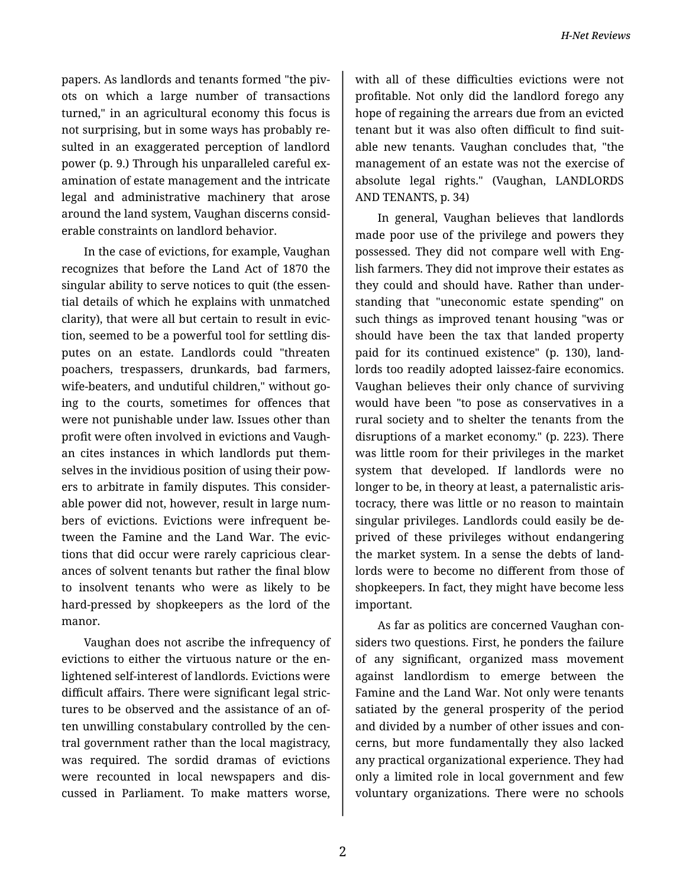papers. As landlords and tenants formed "the piv‐ ots on which a large number of transactions turned," in an agricultural economy this focus is not surprising, but in some ways has probably re‐ sulted in an exaggerated perception of landlord power (p. 9.) Through his unparalleled careful ex‐ amination of estate management and the intricate legal and administrative machinery that arose around the land system, Vaughan discerns consid‐ erable constraints on landlord behavior.

In the case of evictions, for example, Vaughan recognizes that before the Land Act of 1870 the singular ability to serve notices to quit (the essen‐ tial details of which he explains with unmatched clarity), that were all but certain to result in evic‐ tion, seemed to be a powerful tool for settling dis‐ putes on an estate. Landlords could "threaten poachers, trespassers, drunkards, bad farmers, wife-beaters, and undutiful children," without going to the courts, sometimes for offences that were not punishable under law. Issues other than profit were often involved in evictions and Vaugh‐ an cites instances in which landlords put them‐ selves in the invidious position of using their pow‐ ers to arbitrate in family disputes. This consider‐ able power did not, however, result in large num‐ bers of evictions. Evictions were infrequent be‐ tween the Famine and the Land War. The evic‐ tions that did occur were rarely capricious clear‐ ances of solvent tenants but rather the final blow to insolvent tenants who were as likely to be hard-pressed by shopkeepers as the lord of the manor.

Vaughan does not ascribe the infrequency of evictions to either the virtuous nature or the en‐ lightened self-interest of landlords. Evictions were difficult affairs. There were significant legal stric‐ tures to be observed and the assistance of an of‐ ten unwilling constabulary controlled by the cen‐ tral government rather than the local magistracy, was required. The sordid dramas of evictions were recounted in local newspapers and dis‐ cussed in Parliament. To make matters worse,

with all of these difficulties evictions were not profitable. Not only did the landlord forego any hope of regaining the arrears due from an evicted tenant but it was also often difficult to find suit‐ able new tenants. Vaughan concludes that, "the management of an estate was not the exercise of absolute legal rights." (Vaughan, LANDLORDS AND TENANTS, p. 34)

In general, Vaughan believes that landlords made poor use of the privilege and powers they possessed. They did not compare well with Eng‐ lish farmers. They did not improve their estates as they could and should have. Rather than under‐ standing that "uneconomic estate spending" on such things as improved tenant housing "was or should have been the tax that landed property paid for its continued existence" (p. 130), land‐ lords too readily adopted laissez-faire economics. Vaughan believes their only chance of surviving would have been "to pose as conservatives in a rural society and to shelter the tenants from the disruptions of a market economy." (p. 223). There was little room for their privileges in the market system that developed. If landlords were no longer to be, in theory at least, a paternalistic aris‐ tocracy, there was little or no reason to maintain singular privileges. Landlords could easily be de‐ prived of these privileges without endangering the market system. In a sense the debts of land‐ lords were to become no different from those of shopkeepers. In fact, they might have become less important.

As far as politics are concerned Vaughan con‐ siders two questions. First, he ponders the failure of any significant, organized mass movement against landlordism to emerge between the Famine and the Land War. Not only were tenants satiated by the general prosperity of the period and divided by a number of other issues and con‐ cerns, but more fundamentally they also lacked any practical organizational experience. They had only a limited role in local government and few voluntary organizations. There were no schools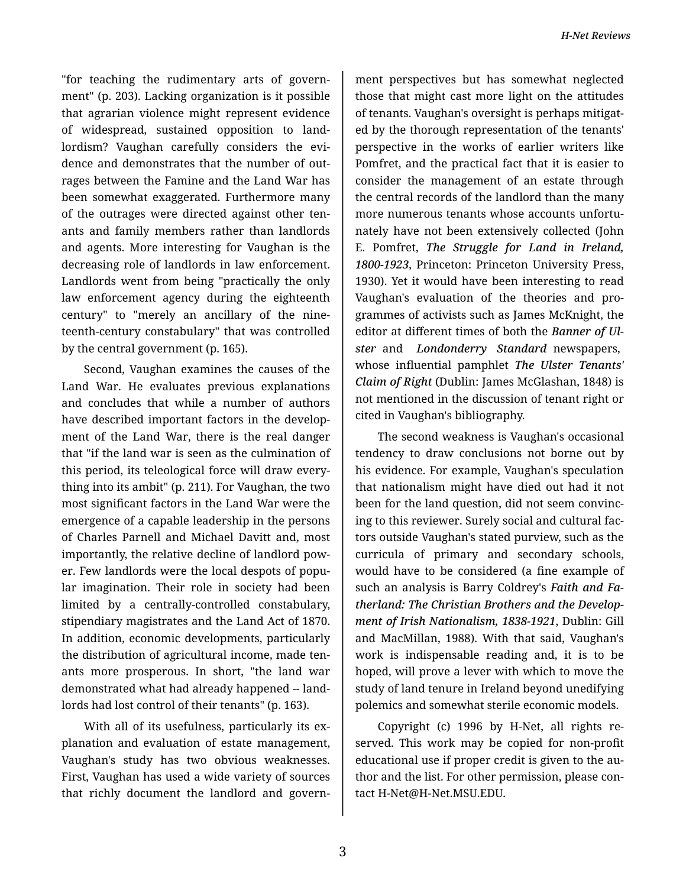"for teaching the rudimentary arts of govern‐ ment" (p. 203). Lacking organization is it possible that agrarian violence might represent evidence of widespread, sustained opposition to land‐ lordism? Vaughan carefully considers the evidence and demonstrates that the number of out‐ rages between the Famine and the Land War has been somewhat exaggerated. Furthermore many of the outrages were directed against other ten‐ ants and family members rather than landlords and agents. More interesting for Vaughan is the decreasing role of landlords in law enforcement. Landlords went from being "practically the only law enforcement agency during the eighteenth century" to "merely an ancillary of the nine‐ teenth-century constabulary" that was controlled by the central government (p. 165).

Second, Vaughan examines the causes of the Land War. He evaluates previous explanations and concludes that while a number of authors have described important factors in the develop‐ ment of the Land War, there is the real danger that "if the land war is seen as the culmination of this period, its teleological force will draw every‐ thing into its ambit" (p. 211). For Vaughan, the two most significant factors in the Land War were the emergence of a capable leadership in the persons of Charles Parnell and Michael Davitt and, most importantly, the relative decline of landlord pow‐ er. Few landlords were the local despots of popu‐ lar imagination. Their role in society had been limited by a centrally-controlled constabulary, stipendiary magistrates and the Land Act of 1870. In addition, economic developments, particularly the distribution of agricultural income, made ten‐ ants more prosperous. In short, "the land war demonstrated what had already happened -- land‐ lords had lost control of their tenants" (p. 163).

With all of its usefulness, particularly its explanation and evaluation of estate management, Vaughan's study has two obvious weaknesses. First, Vaughan has used a wide variety of sources that richly document the landlord and govern‐

ment perspectives but has somewhat neglected those that might cast more light on the attitudes of tenants. Vaughan's oversight is perhaps mitigat‐ ed by the thorough representation of the tenants' perspective in the works of earlier writers like Pomfret, and the practical fact that it is easier to consider the management of an estate through the central records of the landlord than the many more numerous tenants whose accounts unfortu‐ nately have not been extensively collected (John E. Pomfret, *The Struggle for Land in Ireland, 1800-1923*, Princeton: Princeton University Press, 1930). Yet it would have been interesting to read Vaughan's evaluation of the theories and pro‐ grammes of activists such as James McKnight, the editor at different times of both the *Banner of Ul‐ ster* and *Londonderry Standard* newspapers, whose influential pamphlet *The Ulster Tenants' Claim of Right* (Dublin: James McGlashan, 1848) is not mentioned in the discussion of tenant right or cited in Vaughan's bibliography.

The second weakness is Vaughan's occasional tendency to draw conclusions not borne out by his evidence. For example, Vaughan's speculation that nationalism might have died out had it not been for the land question, did not seem convinc‐ ing to this reviewer. Surely social and cultural fac‐ tors outside Vaughan's stated purview, such as the curricula of primary and secondary schools, would have to be considered (a fine example of such an analysis is Barry Coldrey's *Faith and Fa‐ therland: The Christian Brothers and the Develop‐ ment of Irish Nationalism, 1838-1921*, Dublin: Gill and MacMillan, 1988). With that said, Vaughan's work is indispensable reading and, it is to be hoped, will prove a lever with which to move the study of land tenure in Ireland beyond unedifying polemics and somewhat sterile economic models.

Copyright (c) 1996 by H-Net, all rights re‐ served. This work may be copied for non-profit educational use if proper credit is given to the au‐ thor and the list. For other permission, please con‐ tact H-Net@H-Net.MSU.EDU.